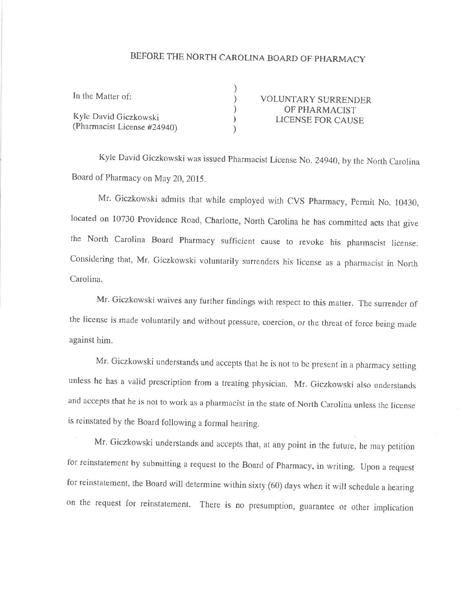## BEFORE THE NORTH CAROLINA BOARD OF PHARMACY

) ) ) ) )

| In the Matter of:     |  |
|-----------------------|--|
| Kyle David Giczkowski |  |

(Pharmacist License #24940)

VOLUNTARY SURRËNDËR OF PHARMACIST LICENSE FOR CAUSE

Kyle David Giczkowski was issued Pharmacist License No. 24940, by the North Carolina Board of Pharmacy on May 20, 2015.

Mr. Giczkowski admits that while employed with CVS Pharmacy, Permit No. 10430, located on 10730 Providence Road, Charlotte, North Carolina he has committed acts that give the North Carolina Board Pharmacy sufficient cause to revoke his pharmacist license. Considering that, Mr. Giczkowski voluntarily surrenders his license as a pharmacist in North Carolina.

Mr. Giczkowski waives any further findings with respect to this matter. The surrender of the license is made voluntarily and without pressure, coercion, or the threat of force being made against him.

Mr. Giczkowski understands and accepts that he is not to be present in a pharmacy setting unless he has a valid prescription from a treating physician. Mr. Giczkowski also understands and accepts that he is not to work as a pharmacist in the state of North Carolina unless the license is reinstated by the Board following a formal hearing.

Mr. Giczkowski understands and accepts that, at any point in the future, he may petition for reinstatement by submitting a request to the Board of Pharmacy, in writing. Upon a request for reinstatement, the Board will determine within sixty (60) days when it will schedule a hearing on the request for reinstatement. There is no presumption, guarantee or other implication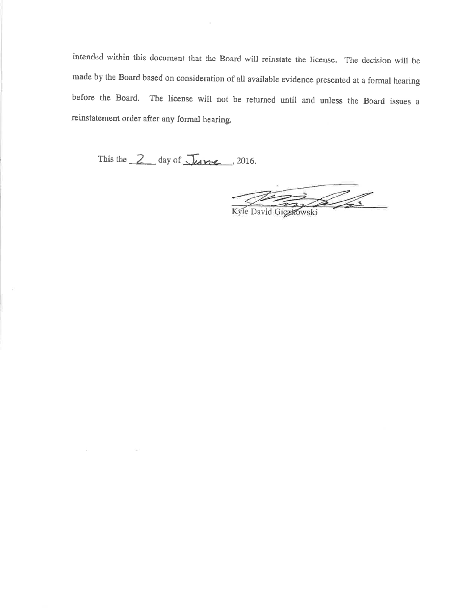intended within this document that the Board will reinstate the license. The decision will be made by the Board based on consideration of all available evidence presented at a formal hearing before the Board. The license will not be returned until and unless the Board issues a reinstatement order after any formal hearing.

This the 2 day of June, 2016.

 $\sigma_{\rm{min}}$  ,

Kyle David Gichtowski